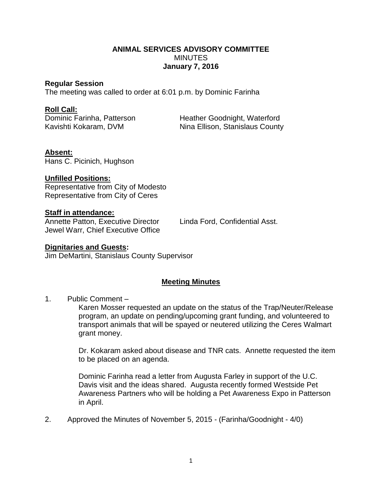### **ANIMAL SERVICES ADVISORY COMMITTEE MINUTES January 7, 2016**

#### **Regular Session**

The meeting was called to order at 6:01 p.m. by Dominic Farinha

#### **Roll Call:**

Dominic Farinha, Patterson Heather Goodnight, Waterford Kavishti Kokaram, DVM Nina Ellison, Stanislaus County

## **Absent:**

Hans C. Picinich, Hughson

## **Unfilled Positions:**

Representative from City of Modesto Representative from City of Ceres

#### **Staff in attendance:**

Annette Patton, Executive Director Linda Ford, Confidential Asst. Jewel Warr, Chief Executive Office

#### **Dignitaries and Guests:**

Jim DeMartini, Stanislaus County Supervisor

# **Meeting Minutes**

#### 1. Public Comment –

Karen Mosser requested an update on the status of the Trap/Neuter/Release program, an update on pending/upcoming grant funding, and volunteered to transport animals that will be spayed or neutered utilizing the Ceres Walmart grant money.

Dr. Kokaram asked about disease and TNR cats. Annette requested the item to be placed on an agenda.

Dominic Farinha read a letter from Augusta Farley in support of the U.C. Davis visit and the ideas shared. Augusta recently formed Westside Pet Awareness Partners who will be holding a Pet Awareness Expo in Patterson in April.

2. Approved the Minutes of November 5, 2015 - (Farinha/Goodnight - 4/0)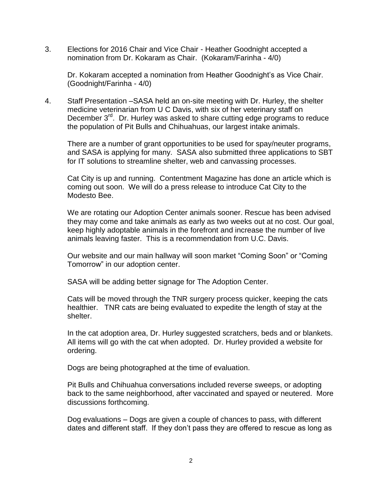3. Elections for 2016 Chair and Vice Chair - Heather Goodnight accepted a nomination from Dr. Kokaram as Chair. (Kokaram/Farinha - 4/0)

Dr. Kokaram accepted a nomination from Heather Goodnight's as Vice Chair. (Goodnight/Farinha - 4/0)

4. Staff Presentation –SASA held an on-site meeting with Dr. Hurley, the shelter medicine veterinarian from U C Davis, with six of her veterinary staff on December 3<sup>rd</sup>. Dr. Hurley was asked to share cutting edge programs to reduce the population of Pit Bulls and Chihuahuas, our largest intake animals.

There are a number of grant opportunities to be used for spay/neuter programs, and SASA is applying for many. SASA also submitted three applications to SBT for IT solutions to streamline shelter, web and canvassing processes.

Cat City is up and running. Contentment Magazine has done an article which is coming out soon. We will do a press release to introduce Cat City to the Modesto Bee.

We are rotating our Adoption Center animals sooner. Rescue has been advised they may come and take animals as early as two weeks out at no cost. Our goal, keep highly adoptable animals in the forefront and increase the number of live animals leaving faster. This is a recommendation from U.C. Davis.

Our website and our main hallway will soon market "Coming Soon" or "Coming Tomorrow" in our adoption center.

SASA will be adding better signage for The Adoption Center.

Cats will be moved through the TNR surgery process quicker, keeping the cats healthier. TNR cats are being evaluated to expedite the length of stay at the shelter.

In the cat adoption area, Dr. Hurley suggested scratchers, beds and or blankets. All items will go with the cat when adopted. Dr. Hurley provided a website for ordering.

Dogs are being photographed at the time of evaluation.

Pit Bulls and Chihuahua conversations included reverse sweeps, or adopting back to the same neighborhood, after vaccinated and spayed or neutered. More discussions forthcoming.

Dog evaluations – Dogs are given a couple of chances to pass, with different dates and different staff. If they don't pass they are offered to rescue as long as